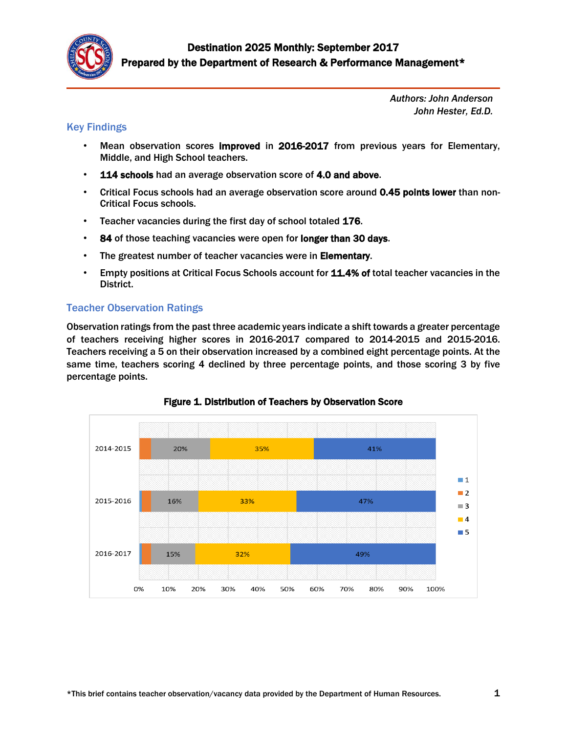

*Authors: John Anderson John Hester, Ed.D.*

#### Key Findings

- Mean observation scores improved in 2016-2017 from previous years for Elementary, Middle, and High School teachers.
- 114 schools had an average observation score of 4.0 and above.
- Critical Focus schools had an average observation score around 0.45 points lower than non-Critical Focus schools.
- Teacher vacancies during the first day of school totaled 176.
- 84 of those teaching vacancies were open for longer than 30 days.
- The greatest number of teacher vacancies were in Elementary.
- Empty positions at Critical Focus Schools account for 11.4% of total teacher vacancies in the District.

# Teacher Observation Ratings

Observation ratings from the past three academic years indicate a shift towards a greater percentage of teachers receiving higher scores in 2016-2017 compared to 2014-2015 and 2015-2016. Teachers receiving a 5 on their observation increased by a combined eight percentage points. At the same time, teachers scoring 4 declined by three percentage points, and those scoring 3 by five percentage points.



Figure 1. Distribution of Teachers by Observation Score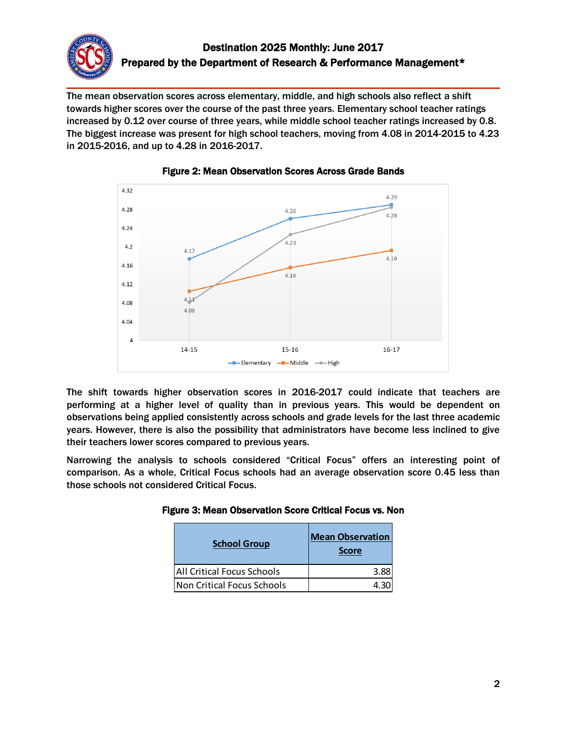

The mean observation scores across elementary, middle, and high schools also reflect a shift towards higher scores over the course of the past three years. Elementary school teacher ratings increased by 0.12 over course of three years, while middle school teacher ratings increased by 0.8. The biggest increase was present for high school teachers, moving from 4.08 in 2014-2015 to 4.23 in 2015-2016, and up to 4.28 in 2016-2017.





The shift towards higher observation scores in 2016-2017 could indicate that teachers are performing at a higher level of quality than in previous years. This would be dependent on observations being applied consistently across schools and grade levels for the last three academic years. However, there is also the possibility that administrators have become less inclined to give their teachers lower scores compared to previous years.

Narrowing the analysis to schools considered "Critical Focus" offers an interesting point of comparison. As a whole, Critical Focus schools had an average observation score 0.45 less than those schools not considered Critical Focus.

| <b>School Group</b>               | <b>Mean Observation</b><br><b>Score</b> |
|-----------------------------------|-----------------------------------------|
| <b>All Critical Focus Schools</b> | 3.88                                    |
| Non Critical Focus Schools        | 4.31                                    |

Figure 3: Mean Observation Score Critical Focus vs. Non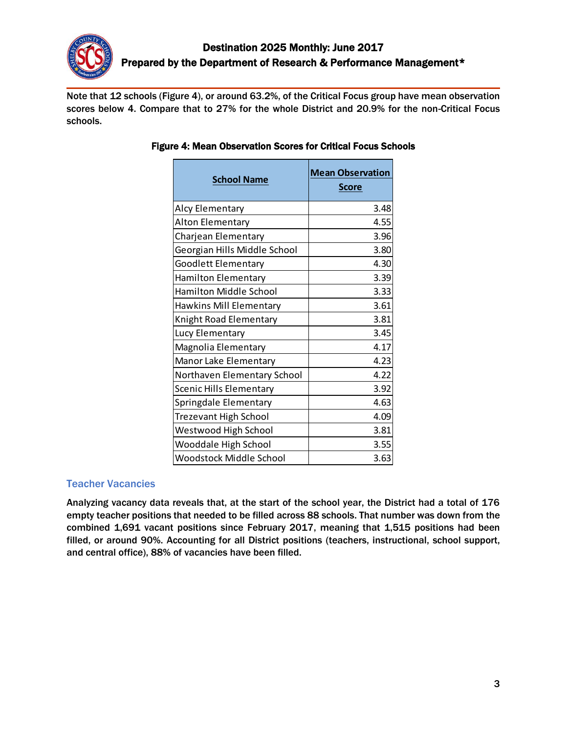

Note that 12 schools (Figure 4), or around 63.2%, of the Critical Focus group have mean observation scores below 4. Compare that to 27% for the whole District and 20.9% for the non-Critical Focus schools.

| <b>School Name</b>             | <b>Mean Observation</b><br><b>Score</b> |  |
|--------------------------------|-----------------------------------------|--|
| Alcy Elementary                | 3.48                                    |  |
| Alton Elementary               | 4.55                                    |  |
| Charjean Elementary            | 3.96                                    |  |
| Georgian Hills Middle School   | 3.80                                    |  |
| Goodlett Elementary            | 4.30                                    |  |
| <b>Hamilton Elementary</b>     | 3.39                                    |  |
| Hamilton Middle School         | 3.33                                    |  |
| Hawkins Mill Elementary        | 3.61                                    |  |
| Knight Road Elementary         | 3.81                                    |  |
| Lucy Elementary                | 3.45                                    |  |
| Magnolia Elementary            | 4.17                                    |  |
| Manor Lake Elementary          | 4.23                                    |  |
| Northaven Elementary School    | 4.22                                    |  |
| Scenic Hills Elementary        | 3.92                                    |  |
| Springdale Elementary          | 4.63                                    |  |
| <b>Trezevant High School</b>   | 4.09                                    |  |
| <b>Westwood High School</b>    | 3.81                                    |  |
| Wooddale High School           | 3.55                                    |  |
| <b>Woodstock Middle School</b> | 3.63                                    |  |

### Figure 4: Mean Observation Scores for Critical Focus Schools

#### Teacher Vacancies

Analyzing vacancy data reveals that, at the start of the school year, the District had a total of 176 empty teacher positions that needed to be filled across 88 schools. That number was down from the combined 1,691 vacant positions since February 2017, meaning that 1,515 positions had been filled, or around 90%. Accounting for all District positions (teachers, instructional, school support, and central office), 88% of vacancies have been filled.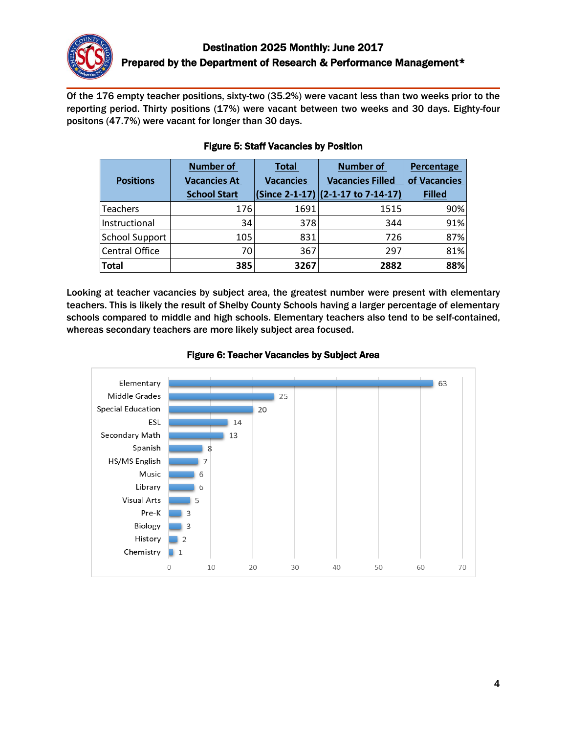

Of the 176 empty teacher positions, sixty-two (35.2%) were vacant less than two weeks prior to the reporting period. Thirty positions (17%) were vacant between two weeks and 30 days. Eighty-four positons (47.7%) were vacant for longer than 30 days.

|                       | <b>Number of</b>    | <b>Total</b>     | <b>Number of</b>                     | Percentage    |
|-----------------------|---------------------|------------------|--------------------------------------|---------------|
| <b>Positions</b>      | <b>Vacancies At</b> | <b>Vacancies</b> | <b>Vacancies Filled</b>              | of Vacancies  |
|                       | <b>School Start</b> |                  | $(Since 2-1-17)$ (2-1-17 to 7-14-17) | <b>Filled</b> |
| <b>Teachers</b>       | 176                 | 1691             | 1515                                 | 90%           |
| Instructional         | 34                  | 378              | 344                                  | 91%           |
| <b>School Support</b> | 105                 | 831              | 726                                  | 87%           |
| Central Office        | 70                  | 367              | 297                                  | 81%           |
| <b>Total</b>          | 385                 | 3267             | 2882                                 | 88%           |

## Figure 5: Staff Vacancies by Position

Looking at teacher vacancies by subject area, the greatest number were present with elementary teachers. This is likely the result of Shelby County Schools having a larger percentage of elementary schools compared to middle and high schools. Elementary teachers also tend to be self-contained, whereas secondary teachers are more likely subject area focused.



### Figure 6: Teacher Vacancies by Subject Area